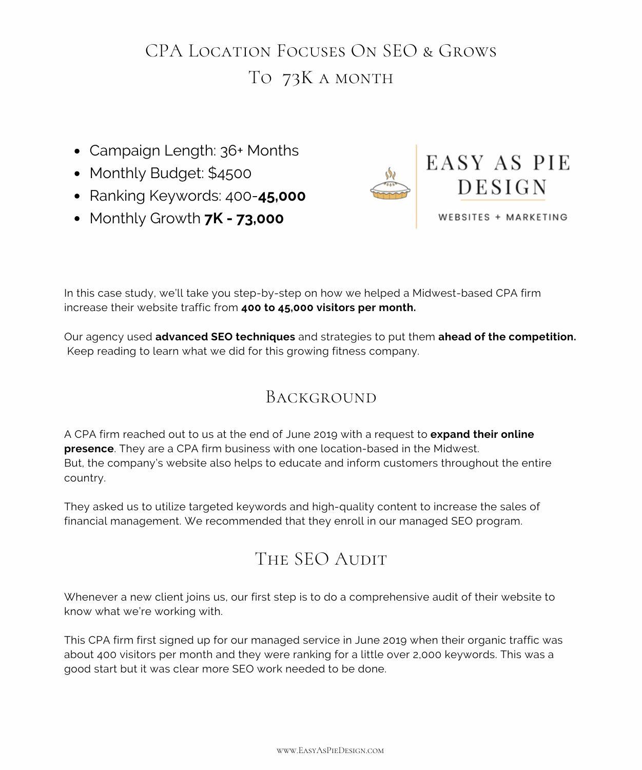# CPA Location Focuses On SEO & Grows TO 73K A MONTH

- Campaign Length: 36+ Months
- Monthly Budget: \$4500
- Ranking Keywords: 400-**45,000**
- Monthly Growth **7K - 73,000**



WEBSITES + MARKETING

In this case study, we'll take you step-by-step on how we helped a Midwest-based CPA firm increase their website traffic from **400 to 45,000 visitors per month.**

Our agency used **advanced SEO techniques** and strategies to put them **ahead of the competition.** Keep reading to learn what we did for this growing fitness company.

## BACKGROUND

A CPA firm reached out to us at the end of June 2019 with a request to **expand their online presence**. They are a CPA firm business with one location-based in the Midwest. But, the company's website also helps to educate and inform customers throughout the entire country.

They asked us to utilize targeted keywords and high-quality content to increase the sales of financial management. We recommended that they enroll in our managed SEO program.

## THE SEO AUDIT

Whenever a new client joins us, our first step is to do a comprehensive audit of their website to know what we're working with.

This CPA firm first signed up for our managed service in June 2019 when their organic traffic was about 400 visitors per month and they were ranking for a little over 2,000 keywords. This was a good start but it was clear more SEO work needed to be done.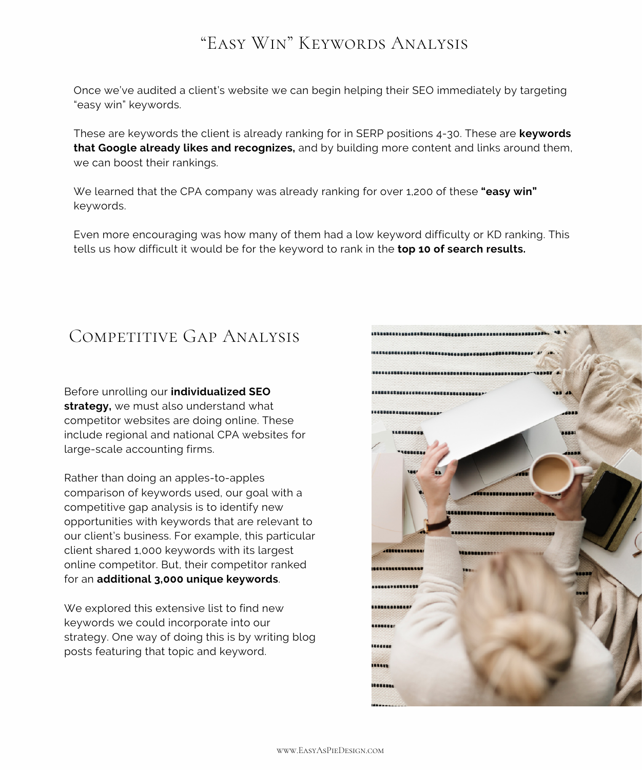## "Easy Win" Keywords Analysis

Once we've audited a client's website we can begin helping their SEO immediately by targeting "easy win" keywords.

These are keywords the client is already ranking for in SERP positions 4-30. These are **keywords that Google already likes and recognizes,** and by building more content and links around them, we can boost their rankings.

We learned that the CPA company was already ranking for over 1,200 of these **"easy win"** keywords.

Even more encouraging was how many of them had a low keyword difficulty or KD ranking. This tells us how difficult it would be for the keyword to rank in the **top 10 of search results.**

## COMPETITIVE GAP ANALYSIS

Before unrolling our **individualized SEO strategy,** we must also understand what competitor websites are doing online. These include regional and national CPA websites for large-scale accounting firms.

Rather than doing an apples-to-apples comparison of keywords used, our goal with a competitive gap analysis is to identify new opportunities with keywords that are relevant to our client's business. For example, this particular client shared 1,000 keywords with its largest online competitor. But, their competitor ranked for an **additional 3,000 unique keywords**.

We explored this extensive list to find new keywords we could incorporate into our strategy. One way of doing this is by writing blog posts featuring that topic and keyword.

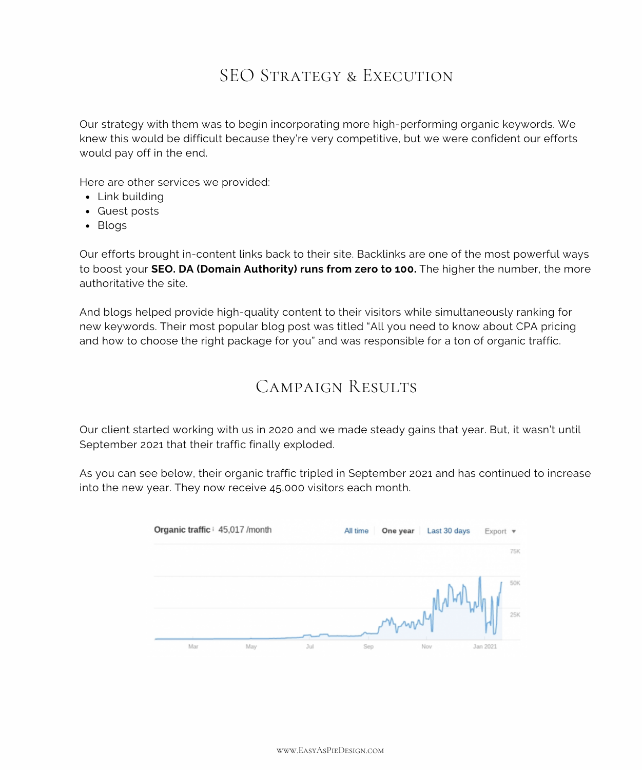## SEO STRATEGY & EXECUTION

Our strategy with them was to begin incorporating more high-performing organic keywords. We knew this would be difficult because they're very competitive, but we were confident our efforts would pay off in the end.

Here are other services we provided:

- Link building
- Guest posts
- Blogs

Our efforts brought in-content links back to their site. Backlinks are one of the most powerful ways to boost your **SEO. DA (Domain Authority) runs from zero to 100.** The higher the number, the more authoritative the site.

And blogs helped provide high-quality content to their visitors while simultaneously ranking for new keywords. Their most popular blog post was titled "All you need to know about CPA pricing and how to choose the right package for you" and was responsible for a ton of organic traffic.

#### Campaign Results

Our client started working with us in 2020 and we made steady gains that year. But, it wasn't until September 2021 that their traffic finally exploded.

As you can see below, their organic traffic tripled in September 2021 and has continued to increase into the new year. They now receive 45,000 visitors each month.

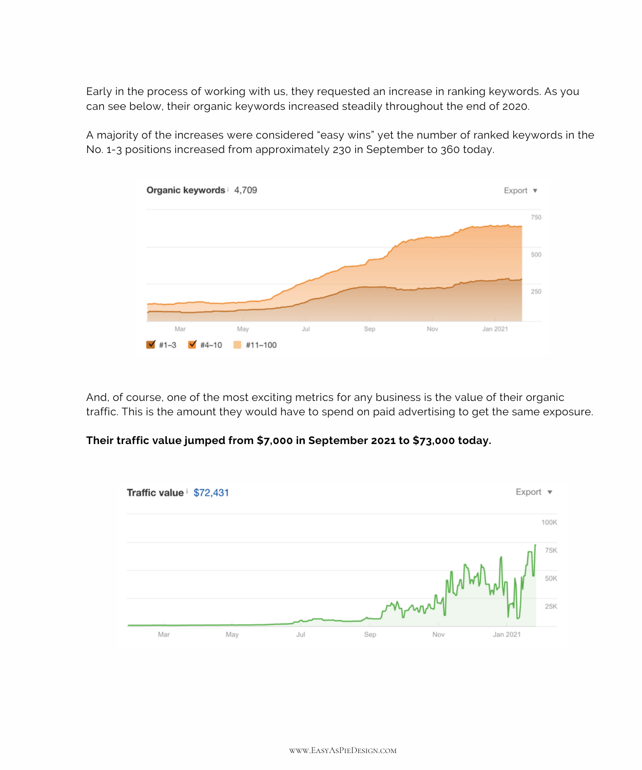Early in the process of working with us, they requested an increase in ranking keywords. As you can see below, their organic keywords increased steadily throughout the end of 2020.

A majority of the increases were considered "easy wins" yet the number of ranked keywords in the No. 1-3 positions increased from approximately 230 in September to 360 today.



And, of course, one of the most exciting metrics for any business is the value of their organic traffic. This is the amount they would have to spend on paid advertising to get the same exposure.

#### **Their traffic value jumped from \$7,000 in September 2021 to \$73,000 today.**